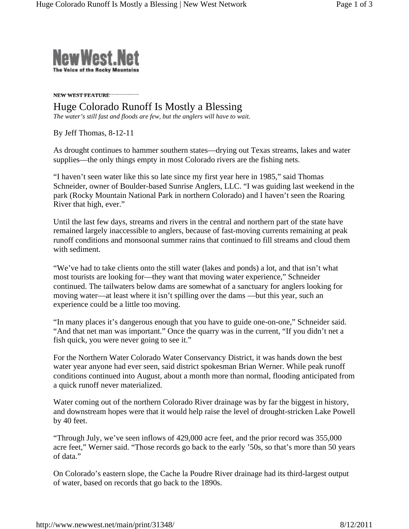

**NEW WEST FEATURE**

## Huge Colorado Runoff Is Mostly a Blessing

*The water's still fast and floods are few, but the anglers will have to wait.*

By Jeff Thomas, 8-12-11

As drought continues to hammer southern states—drying out Texas streams, lakes and water supplies—the only things empty in most Colorado rivers are the fishing nets.

"I haven't seen water like this so late since my first year here in 1985," said Thomas Schneider, owner of Boulder-based Sunrise Anglers, LLC. "I was guiding last weekend in the park (Rocky Mountain National Park in northern Colorado) and I haven't seen the Roaring River that high, ever."

Until the last few days, streams and rivers in the central and northern part of the state have remained largely inaccessible to anglers, because of fast-moving currents remaining at peak runoff conditions and monsoonal summer rains that continued to fill streams and cloud them with sediment.

"We've had to take clients onto the still water (lakes and ponds) a lot, and that isn't what most tourists are looking for—they want that moving water experience," Schneider continued. The tailwaters below dams are somewhat of a sanctuary for anglers looking for moving water—at least where it isn't spilling over the dams —but this year, such an experience could be a little too moving.

"In many places it's dangerous enough that you have to guide one-on-one," Schneider said. "And that net man was important." Once the quarry was in the current, "If you didn't net a fish quick, you were never going to see it."

For the Northern Water Colorado Water Conservancy District, it was hands down the best water year anyone had ever seen, said district spokesman Brian Werner. While peak runoff conditions continued into August, about a month more than normal, flooding anticipated from a quick runoff never materialized.

Water coming out of the northern Colorado River drainage was by far the biggest in history, and downstream hopes were that it would help raise the level of drought-stricken Lake Powell by 40 feet.

"Through July, we've seen inflows of 429,000 acre feet, and the prior record was 355,000 acre feet," Werner said. "Those records go back to the early '50s, so that's more than 50 years of data."

On Colorado's eastern slope, the Cache la Poudre River drainage had its third-largest output of water, based on records that go back to the 1890s.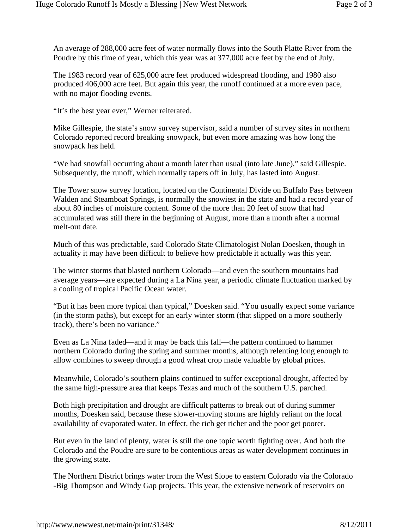An average of 288,000 acre feet of water normally flows into the South Platte River from the Poudre by this time of year, which this year was at 377,000 acre feet by the end of July.

The 1983 record year of 625,000 acre feet produced widespread flooding, and 1980 also produced 406,000 acre feet. But again this year, the runoff continued at a more even pace, with no major flooding events.

"It's the best year ever," Werner reiterated.

Mike Gillespie, the state's snow survey supervisor, said a number of survey sites in northern Colorado reported record breaking snowpack, but even more amazing was how long the snowpack has held.

"We had snowfall occurring about a month later than usual (into late June)," said Gillespie. Subsequently, the runoff, which normally tapers off in July, has lasted into August.

The Tower snow survey location, located on the Continental Divide on Buffalo Pass between Walden and Steamboat Springs, is normally the snowiest in the state and had a record year of about 80 inches of moisture content. Some of the more than 20 feet of snow that had accumulated was still there in the beginning of August, more than a month after a normal melt-out date.

Much of this was predictable, said Colorado State Climatologist Nolan Doesken, though in actuality it may have been difficult to believe how predictable it actually was this year.

The winter storms that blasted northern Colorado—and even the southern mountains had average years—are expected during a La Nina year, a periodic climate fluctuation marked by a cooling of tropical Pacific Ocean water.

"But it has been more typical than typical," Doesken said. "You usually expect some variance (in the storm paths), but except for an early winter storm (that slipped on a more southerly track), there's been no variance."

Even as La Nina faded—and it may be back this fall—the pattern continued to hammer northern Colorado during the spring and summer months, although relenting long enough to allow combines to sweep through a good wheat crop made valuable by global prices.

Meanwhile, Colorado's southern plains continued to suffer exceptional drought, affected by the same high-pressure area that keeps Texas and much of the southern U.S. parched.

Both high precipitation and drought are difficult patterns to break out of during summer months, Doesken said, because these slower-moving storms are highly reliant on the local availability of evaporated water. In effect, the rich get richer and the poor get poorer.

But even in the land of plenty, water is still the one topic worth fighting over. And both the Colorado and the Poudre are sure to be contentious areas as water development continues in the growing state.

The Northern District brings water from the West Slope to eastern Colorado via the Colorado -Big Thompson and Windy Gap projects. This year, the extensive network of reservoirs on